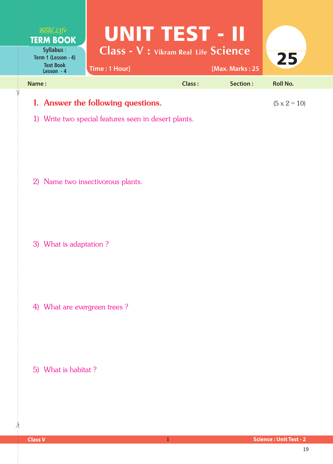| Real Life<br><b>TERM BOOK</b>                                      | UNITETESTE III                                               |        |                 |                 |
|--------------------------------------------------------------------|--------------------------------------------------------------|--------|-----------------|-----------------|
| Syllabus:<br>Term 1 (Lesson - 4)<br><b>Text Book</b><br>Lesson - 4 | <b>Class - V : Vikram Real Life Science</b><br>Time: 1 Hour] |        | [Max. Marks: 25 | 25              |
| Name:                                                              |                                                              | Class: | Section:        | <b>Roll No.</b> |
| I. Answer the following questions.                                 | $(5 \times 2 = 10)$                                          |        |                 |                 |

1) Write two special features seen in desert plants.

2) Name two insectivorous plants.

3) What is adaptation ?

4) What are evergreen trees ?

5) What is habitat ?

 $\frac{1}{2}$